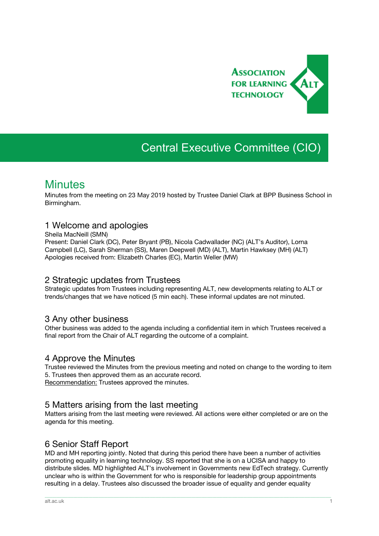

# Central Executive Committee (CIO)

## **Minutes**

Minutes from the meeting on 23 May 2019 hosted by Trustee Daniel Clark at BPP Business School in Birmingham.

#### 1 Welcome and apologies

Sheila MacNeill (SMN)

Present: Daniel Clark (DC), Peter Bryant (PB), Nicola Cadwallader (NC) (ALT's Auditor), Lorna Campbell (LC), Sarah Sherman (SS), Maren Deepwell (MD) (ALT), Martin Hawksey (MH) (ALT) Apologies received from: Elizabeth Charles (EC), Martin Weller (MW)

#### 2 Strategic updates from Trustees

Strategic updates from Trustees including representing ALT, new developments relating to ALT or trends/changes that we have noticed (5 min each). These informal updates are not minuted.

#### 3 Any other business

Other business was added to the agenda including a confidential item in which Trustees received a final report from the Chair of ALT regarding the outcome of a complaint.

#### 4 Approve the Minutes

Trustee reviewed the Minutes from the previous meeting and noted on change to the wording to item 5. Trustees then approved them as an accurate record. Recommendation: Trustees approved the minutes.

#### 5 Matters arising from the last meeting

Matters arising from the last meeting were reviewed. All actions were either completed or are on the agenda for this meeting.

#### 6 Senior Staff Report

MD and MH reporting jointly. Noted that during this period there have been a number of activities promoting equality in learning technology. SS reported that she is on a UCISA and happy to distribute slides. MD highlighted ALT's involvement in Governments new EdTech strategy. Currently unclear who is within the Government for who is responsible for leadership group appointments resulting in a delay. Trustees also discussed the broader issue of equality and gender equality

\_\_\_\_\_\_\_\_\_\_\_\_\_\_\_\_\_\_\_\_\_\_\_\_\_\_\_\_\_\_\_\_\_\_\_\_\_\_\_\_\_\_\_\_\_\_\_\_\_\_\_\_\_\_\_\_\_\_\_\_\_\_\_\_\_\_\_\_\_\_\_\_\_\_\_\_\_\_\_\_\_\_\_\_\_\_\_\_\_\_\_\_\_\_\_\_\_\_\_\_\_\_\_\_\_\_\_\_\_\_\_\_\_\_\_\_\_\_\_\_\_\_\_\_\_\_\_\_\_\_\_\_\_\_\_\_\_\_\_\_\_\_\_\_\_\_\_\_\_\_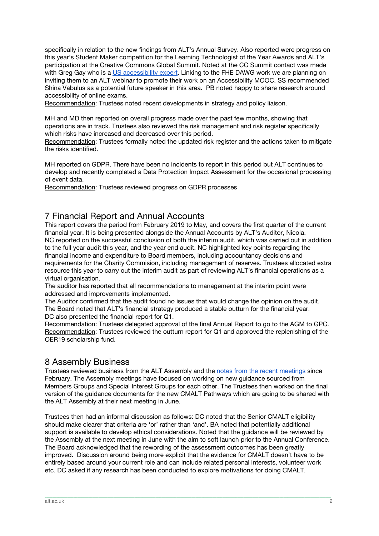specifically in relation to the new findings from ALT's Annual Survey. Also reported were progress on this year's Student Maker competition for the Learning Technologist of the Year Awards and ALT's participation at the Creative Commons Global Summit. Noted at the CC Summit contact was made with Greg Gay who is a US [accessibility](https://ccglobalsummit2019lisbonportugal.sched.com/event/MhLh/digital-accessibility-is-a-right-why-are-we-not-teaching-it) expert. Linking to the FHE DAWG work we are planning on inviting them to an ALT webinar to promote their work on an Accessibility MOOC. SS recommended Shina Vabulus as a potential future speaker in this area. PB noted happy to share research around accessibility of online exams.

Recommendation: Trustees noted recent developments in strategy and policy liaison.

MH and MD then reported on overall progress made over the past few months, showing that operations are in track. Trustees also reviewed the risk management and risk register specifically which risks have increased and decreased over this period.

Recommendation: Trustees formally noted the updated risk register and the actions taken to mitigate the risks identified.

MH reported on GDPR. There have been no incidents to report in this period but ALT continues to develop and recently completed a Data Protection Impact Assessment for the occasional processing of event data.

Recommendation: Trustees reviewed progress on GDPR processes

#### 7 Financial Report and Annual Accounts

This report covers the period from February 2019 to May, and covers the first quarter of the current financial year. It is being presented alongside the Annual Accounts by ALT's Auditor, Nicola. NC reported on the successful conclusion of both the interim audit, which was carried out in addition to the full year audit this year, and the year end audit. NC highlighted key points regarding the financial income and expenditure to Board members, including accountancy decisions and requirements for the Charity Commision, including management of reserves. Trustees allocated extra resource this year to carry out the interim audit as part of reviewing ALT's financial operations as a virtual organisation.

The auditor has reported that all recommendations to management at the interim point were addressed and improvements implemented.

The Auditor confirmed that the audit found no issues that would change the opinion on the audit. The Board noted that ALT's financial strategy produced a stable outturn for the financial year. DC also presented the financial report for Q1.

Recommendation: Trustees delegated approval of the final Annual Report to go to the AGM to GPC. Recommendation: Trustees reviewed the outturn report for Q1 and approved the replenishing of the OER19 scholarship fund.

#### 8 Assembly Business

Trustees reviewed business from the ALT Assembly and the notes from the recent [meetings](https://docs.google.com/document/d/148xcKsHXDjAQsL7m-toQD6fmVRuzMwJTOEEKNFFyBAY/edit) since February. The Assembly meetings have focused on working on new guidance sourced from Members Groups and Special Interest Groups for each other. The Trustees then worked on the final version of the guidance documents for the new CMALT Pathways which are going to be shared with the ALT Assembly at their next meeting in June.

Trustees then had an informal discussion as follows: DC noted that the Senior CMALT eligibility should make clearer that criteria are 'or' rather than 'and'. BA noted that potentially additional support is available to develop ethical considerations. Noted that the guidance will be reviewed by the Assembly at the next meeting in June with the aim to soft launch prior to the Annual Conference. The Board acknowledged that the rewording of the assessment outcomes has been greatly improved. Discussion around being more explicit that the evidence for CMALT doesn't have to be entirely based around your current role and can include related personal interests, volunteer work etc. DC asked if any research has been conducted to explore motivations for doing CMALT.

\_\_\_\_\_\_\_\_\_\_\_\_\_\_\_\_\_\_\_\_\_\_\_\_\_\_\_\_\_\_\_\_\_\_\_\_\_\_\_\_\_\_\_\_\_\_\_\_\_\_\_\_\_\_\_\_\_\_\_\_\_\_\_\_\_\_\_\_\_\_\_\_\_\_\_\_\_\_\_\_\_\_\_\_\_\_\_\_\_\_\_\_\_\_\_\_\_\_\_\_\_\_\_\_\_\_\_\_\_\_\_\_\_\_\_\_\_\_\_\_\_\_\_\_\_\_\_\_\_\_\_\_\_\_\_\_\_\_\_\_\_\_\_\_\_\_\_\_\_\_